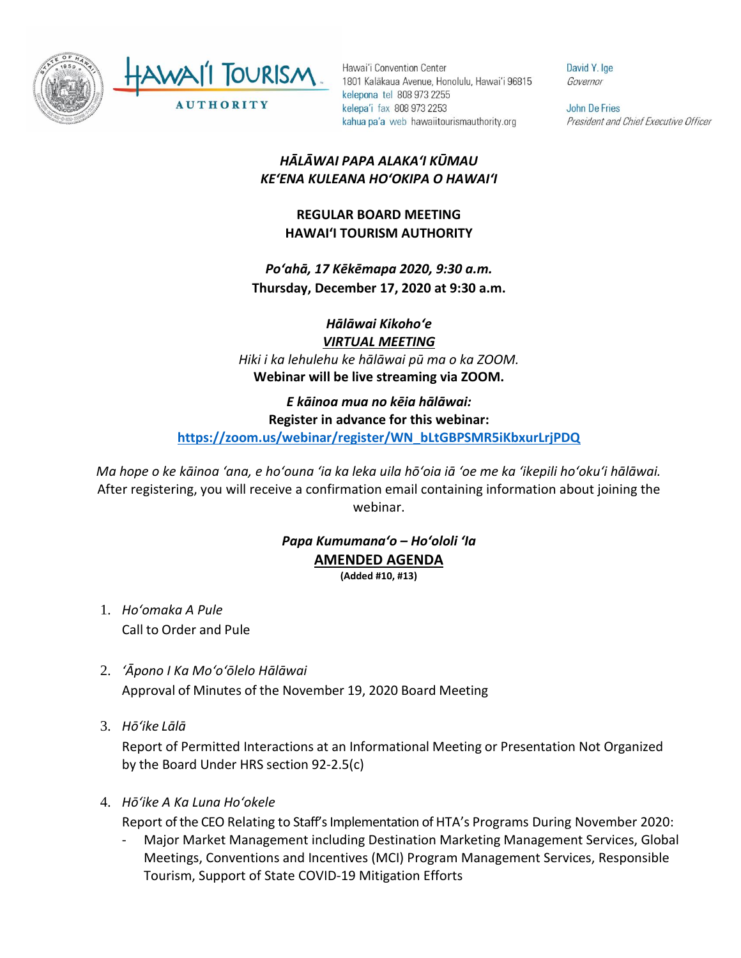

Hawai'i Convention Center 1801 Kalākaua Avenue, Honolulu, Hawai'i 96815 kelepona tel 808 973 2255 kelepa'i fax 808 973 2253 kahua pa'a web hawaiitourismauthority.org

David Y. Ige Governor

**John De Fries** President and Chief Executive Officer

# *HĀLĀWAI PAPA ALAKAʻI KŪMAU KEʻENA KULEANA HOʻOKIPA O HAWAIʻI*

# **REGULAR BOARD MEETING HAWAI'I TOURISM AUTHORITY**

*Poʻahā, 17 Kēkēmapa 2020, 9:30 a.m.* **Thursday, December 17, 2020 at 9:30 a.m.**

*Hālāwai Kikohoʻe VIRTUAL MEETING Hiki i ka lehulehu ke hālāwai pū ma o ka ZOOM.* **Webinar will be live streaming via ZOOM.**

*E kāinoa mua no kēia hālāwai:* **Register in advance for this webinar: [https://zoom.us/webinar/register/WN\\_bLtGBPSMR5iKbxurLrjPDQ](https://zoom.us/webinar/register/WN_bLtGBPSMR5iKbxurLrjPDQ)**

*Ma hope o ke kāinoa ʻana, e hoʻouna ʻia ka leka uila hōʻoia iā ʻoe me ka ʻikepili hoʻokuʻi hālāwai.* After registering, you will receive a confirmation email containing information about joining the webinar.

#### *Papa Kumumanaʻo – Hoʻololi ʻIa* **AMENDED AGENDA (Added #10, #13)**

- 1. *Ho'omaka A Pule* Call to Order and Pule
- 2. *ʻĀpono I Ka Moʻoʻōlelo Hālāwai* Approval of Minutes of the November 19, 2020 Board Meeting
- 3. *Hō'ike Lālā*

Report of Permitted Interactions at an Informational Meeting or Presentation Not Organized by the Board Under HRS section 92-2.5(c)

4. *Hōʻike A Ka Luna Hoʻokele*

Report of the CEO Relating to Staff's Implementation of HTA's Programs During November 2020:

- Major Market Management including Destination Marketing Management Services, Global Meetings, Conventions and Incentives (MCI) Program Management Services, Responsible Tourism, Support of State COVID-19 Mitigation Efforts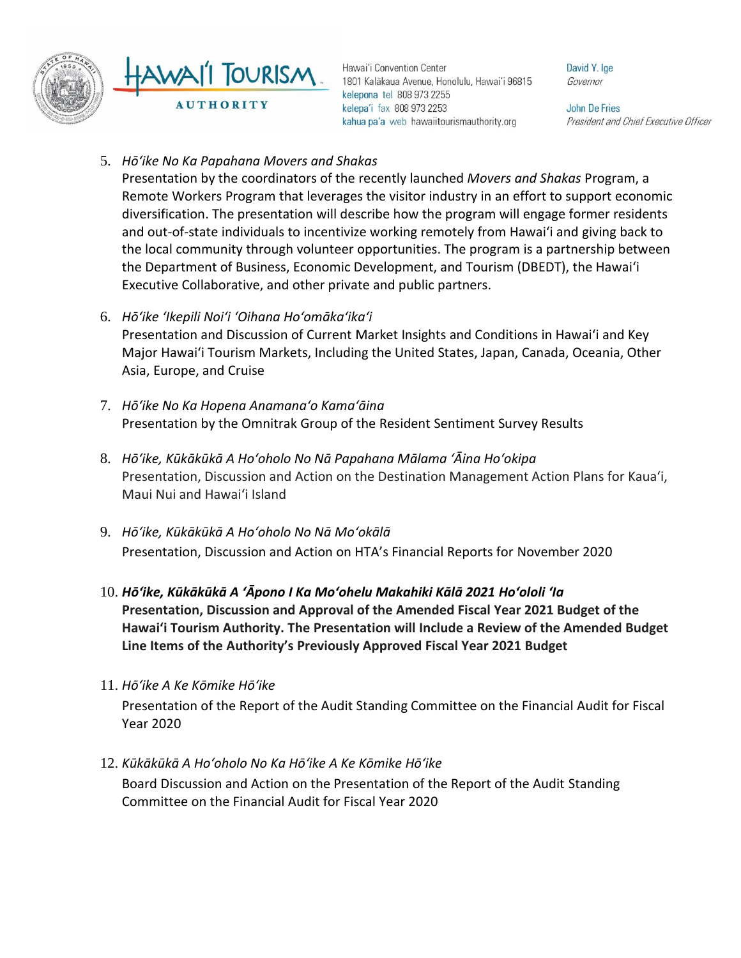

Hawai'i Convention Center 1801 Kalākaua Avenue, Honolulu, Hawai'i 96815 kelepona tel 808 973 2255 kelepa'i fax 808 973 2253 kahua pa'a web hawaiitourismauthority.org

David Y. Ige Governor

**John De Fries** President and Chief Executive Officer

5. *Hōʻike No Ka Papahana Movers and Shakas*

Presentation by the coordinators of the recently launched *Movers and Shakas* Program, a Remote Workers Program that leverages the visitor industry in an effort to support economic diversification. The presentation will describe how the program will engage former residents and out-of-state individuals to incentivize working remotely from Hawaiʻi and giving back to the local community through volunteer opportunities. The program is a partnership between the Department of Business, Economic Development, and Tourism (DBEDT), the Hawai'i Executive Collaborative, and other private and public partners.

- 6. *Hōʻike ʻIkepili Noiʻi ʻOihana Hoʻomākaʻikaʻi* Presentation and Discussion of Current Market Insights and Conditions in Hawai'i and Key Major Hawai'i Tourism Markets, Including the United States, Japan, Canada, Oceania, Other Asia, Europe, and Cruise
- 7. *Hōʻike No Ka Hopena Anamanaʻo Kamaʻāina* Presentation by the Omnitrak Group of the Resident Sentiment Survey Results
- 8. *Hōʻike, Kūkākūkā A Hoʻoholo No Nā Papahana Mālama ʻĀina Hoʻokipa* Presentation, Discussion and Action on the Destination Management Action Plans for Kaua'i, Maui Nui and Hawai'i Island
- 9. *Hōʻike, Kūkākūkā A Hoʻoholo No Nā Moʻokālā*  Presentation, Discussion and Action on HTA's Financial Reports for November 2020
- 10. *Hōʻike, Kūkākūkā A ʻĀpono I Ka Moʻohelu Makahiki Kālā 2021 Hoʻololi ʻIa* **Presentation, Discussion and Approval of the Amended Fiscal Year 2021 Budget of the Hawai'i Tourism Authority. The Presentation will Include a Review of the Amended Budget Line Items of the Authority's Previously Approved Fiscal Year 2021 Budget**
- 11. *Hōʻike A Ke Kōmike Hōʻike*

Presentation of the Report of the Audit Standing Committee on the Financial Audit for Fiscal Year 2020

12. *Kūkākūkā A Hoʻoholo No Ka Hōʻike A Ke Kōmike Hōʻike*

Board Discussion and Action on the Presentation of the Report of the Audit Standing Committee on the Financial Audit for Fiscal Year 2020